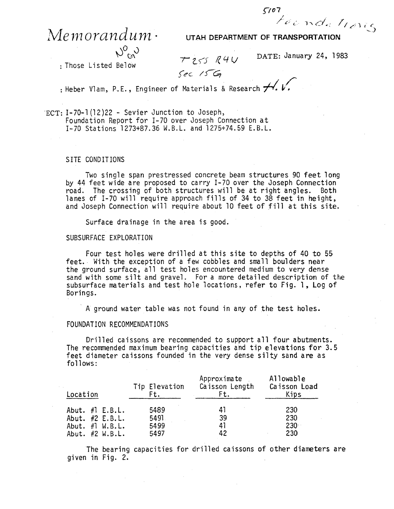$\sqrt{67}$ *tocnde trons* 

## $M$ emorandum ·

 $N_{\text{ca}}^{\text{O}}$ 

**UTAH DEPARTMENT OF TRANSPORTATION** 

: Those Listed Below

DATE: January 24, 1983

 $T255 R4U$ 

*Sec. IS*<br>Heber Vlam, P.E., Engineer of Materials & Research <del>/</del>

"ECT: 1-70-1 {12 )22 - Sevier Junction to Joseph, Foundation Report for 1-70 over Joseph Connection at 1-70 Stations 1273+87.36 W.B.L. and 1275+74.59 E.B.L.

SITE CONDITIONS

Two single span prestressed concrete beam structures 90 feet long by 44 feet wide are proposed to carry 1-70 over the Joseph Connection road. The crossing of both structures will be at right angles. Both lanes of I-70 will require approach fills of 34 to 38 feet in height, and Joseph Connection will require about 10 feet of fill at this site.

Surface drainage in the area is good.

## SUBSURFACE EXPLORATION

Four test holes were drilled at this site to depths of 40 to 55 feet. With the exception of a few cobbles and small boulders near the ground surface, all test holes encountered medium to very dense sand with some silt and gravel. For a more detailed description of the subsurface materials and test hole locations, refer to Fig. 1, Log of Borings .

. A ground water table was not found in any of the test holes.

## FOUNDATION RECOMMENDATIONS

Drilled caissons are recommended to support all four abutments. The recommended maximum bearing capacities and tip elevations for 3.5 feet diameter caissons founded in the very dense silty sand are as follows:

| Location |  |                     | Tip Elevation<br>Ft. | Approximate<br>Caisson Length<br>Ft. | Allowable<br>Caisson Load<br>Kips |
|----------|--|---------------------|----------------------|--------------------------------------|-----------------------------------|
|          |  | Abut. $\#$ l E.B.L. | 5489                 | 41                                   | 230                               |
|          |  | Abut. #2 E.B.L.     | 5491                 | 39                                   | 230                               |
|          |  | Abut. $\#$ l W.B.L. | 5499                 | 41                                   | $230 -$                           |
|          |  | Abut. $#2$ W.B.L.   | 5497                 | 42                                   | 230                               |

The bearing capacities for drilled caissons of other diameters are given in Fig. 2.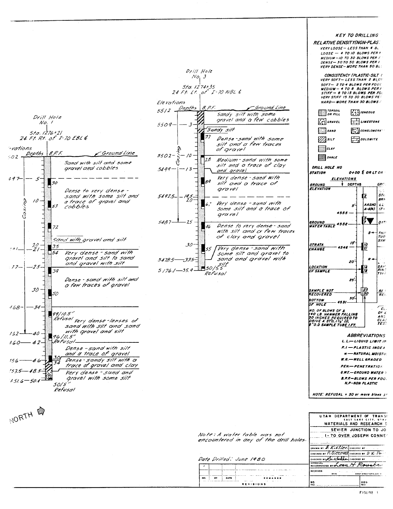

FIGURE 1